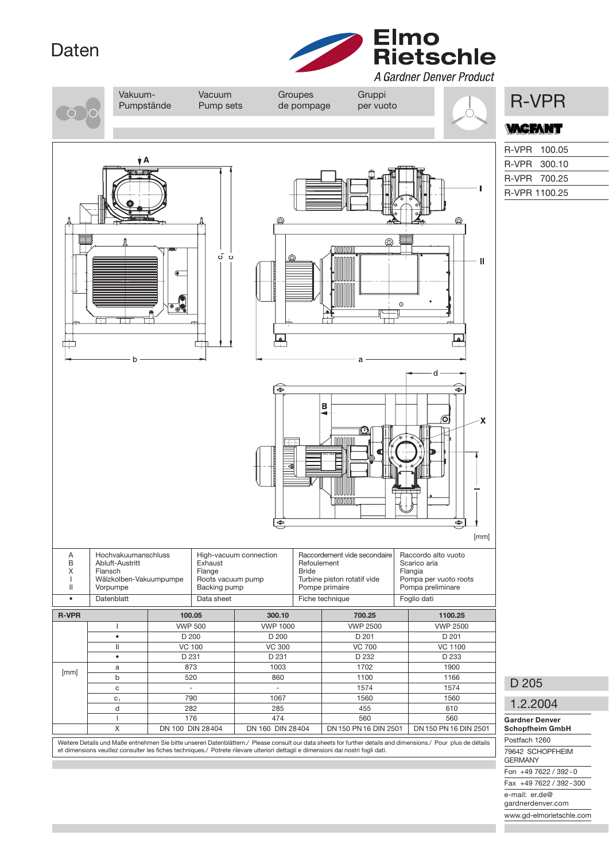## Daten



Vakuum- Vacuum Groupes Gruppi<br>Pumpstände Pump sets de pompage per vuoto NR-VPR Pumpstände Pump sets de pompage per vuoto **ACFANT** R-VPR 100.05 R-VPR 300.10 R-VPR 700.25 R-VPR 1100.25 ക ┱ ය  $\ddot{\mathbf{c}}$  $\mathbf{u}$  $\hat{c}$ لها B  $|\mathbf{C}|$ i nnnnnn ⋐  $\ddot{\bullet}$ [mm] A Hochvakuumanschluss High-vacuum connection Raccordement vide secondaire Raccordo alto vuoto<br>B Abluft-Austritt Exhaust Exhaust Refoulement Scarico aria B Abluft-Austritt Exhaust Exhaust Refoulement Scarico Reformed Scarico Reformed Reformed Reformed Reformed Reformed Reformed Reformed Reformed Reformed Reformed Reformed Reformed Reformed Reformed Reformed Reformed Reforme | X | Flansch | Flange Bride Flangia I Wälzkolben-Vakuumpumpe Roots vacuum pump Turbine piston rotatif vide Pompa per vuoto roots Pompa preliminare • Datenblatt Data sheet Fiche technique Foglio dati R-VPR 100.05 | 300.10 | 700.25 | 1100.25 I VWP 500 VWP 1000 VWP 2500 VWP 2500 • D 200 D 200 D 201 D 201 II VC 100 VC 300 VC 700 VC 1100 • D 231 D 231 D 232 D 233  $[mm]$  a 873 1003 1702 1900 b 520 860 1100 1166 D 205 c | - - | - - | 1574 | 1574  $c_1$  790 1067 10667 1560 1560 1560 1.2.2004 d | 282 | 285 | 455 | 610 Gardner Denver l | 176 176 474 | 560 | 560 Schopfheim GmbH X DN 100 DIN 28404 DN 160 DIN 28404 DN 150 PN 16 DIN 2501 DN 150 PN 16 DIN 2501 Postfach 1260 Weitere Details und Maße entnehmen Sie bitte unseren Datenblättern./ Please consult our data sheets for further details and dimensions./ Pour plus de détails<br>et dimensions veuillez consulter les fiches techniques./ Potrete 79642 SCHOPFHEIM GERMANY

> Fon +49 7622 / 392 - 0 Fax +49 7622 / 392 - 300 e-mail: er.de@ gardnerdenver.com www.gd-elmorietschle.com